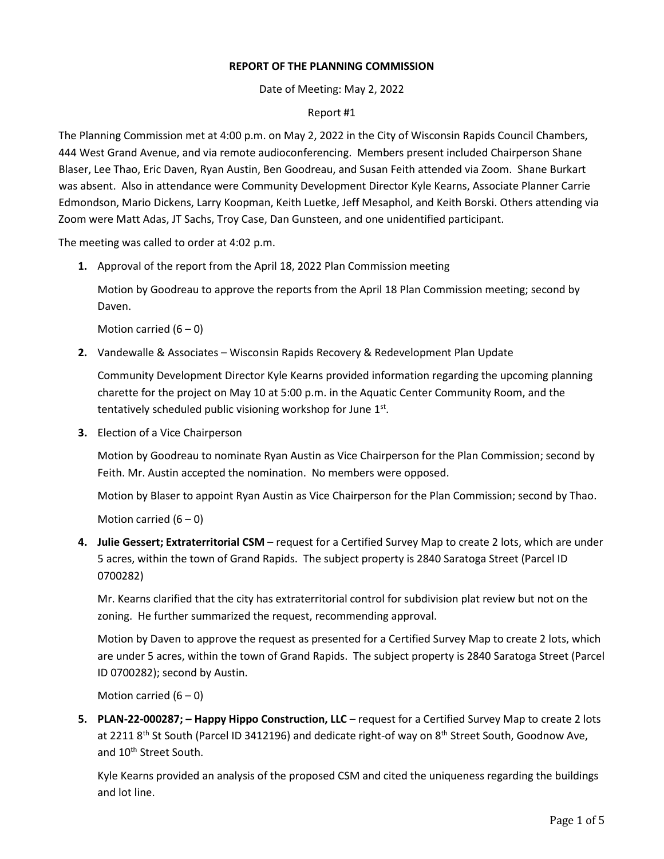## **REPORT OF THE PLANNING COMMISSION**

Date of Meeting: May 2, 2022

## Report #1

The Planning Commission met at 4:00 p.m. on May 2, 2022 in the City of Wisconsin Rapids Council Chambers, 444 West Grand Avenue, and via remote audioconferencing. Members present included Chairperson Shane Blaser, Lee Thao, Eric Daven, Ryan Austin, Ben Goodreau, and Susan Feith attended via Zoom. Shane Burkart was absent. Also in attendance were Community Development Director Kyle Kearns, Associate Planner Carrie Edmondson, Mario Dickens, Larry Koopman, Keith Luetke, Jeff Mesaphol, and Keith Borski. Others attending via Zoom were Matt Adas, JT Sachs, Troy Case, Dan Gunsteen, and one unidentified participant.

The meeting was called to order at 4:02 p.m.

**1.** Approval of the report from the April 18, 2022 Plan Commission meeting

Motion by Goodreau to approve the reports from the April 18 Plan Commission meeting; second by Daven.

Motion carried  $(6 - 0)$ 

**2.** Vandewalle & Associates – Wisconsin Rapids Recovery & Redevelopment Plan Update

Community Development Director Kyle Kearns provided information regarding the upcoming planning charette for the project on May 10 at 5:00 p.m. in the Aquatic Center Community Room, and the tentatively scheduled public visioning workshop for June  $1<sup>st</sup>$ .

**3.** Election of a Vice Chairperson

Motion by Goodreau to nominate Ryan Austin as Vice Chairperson for the Plan Commission; second by Feith. Mr. Austin accepted the nomination. No members were opposed.

Motion by Blaser to appoint Ryan Austin as Vice Chairperson for the Plan Commission; second by Thao.

Motion carried  $(6 - 0)$ 

**4. Julie Gessert; Extraterritorial CSM** – request for a Certified Survey Map to create 2 lots, which are under 5 acres, within the town of Grand Rapids. The subject property is 2840 Saratoga Street (Parcel ID 0700282)

Mr. Kearns clarified that the city has extraterritorial control for subdivision plat review but not on the zoning. He further summarized the request, recommending approval.

Motion by Daven to approve the request as presented for a Certified Survey Map to create 2 lots, which are under 5 acres, within the town of Grand Rapids. The subject property is 2840 Saratoga Street (Parcel ID 0700282); second by Austin.

Motion carried  $(6 - 0)$ 

**5. PLAN-22-000287; – Happy Hippo Construction, LLC** – request for a Certified Survey Map to create 2 lots at 2211 8<sup>th</sup> St South (Parcel ID 3412196) and dedicate right-of way on 8<sup>th</sup> Street South, Goodnow Ave, and 10<sup>th</sup> Street South.

Kyle Kearns provided an analysis of the proposed CSM and cited the uniqueness regarding the buildings and lot line.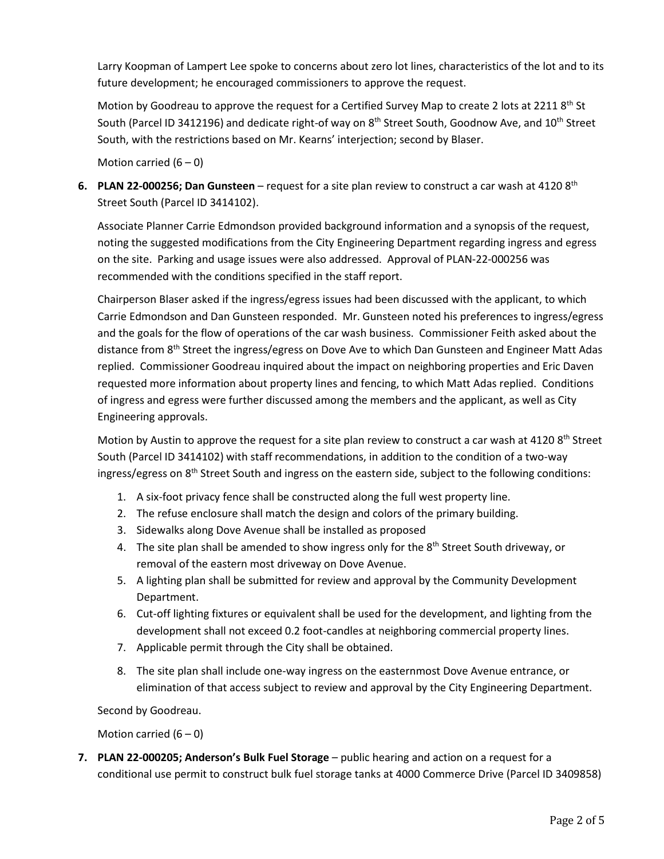Larry Koopman of Lampert Lee spoke to concerns about zero lot lines, characteristics of the lot and to its future development; he encouraged commissioners to approve the request.

Motion by Goodreau to approve the request for a Certified Survey Map to create 2 lots at 2211  $8<sup>th</sup>$  St South (Parcel ID 3412196) and dedicate right-of way on 8<sup>th</sup> Street South, Goodnow Ave, and 10<sup>th</sup> Street South, with the restrictions based on Mr. Kearns' interjection; second by Blaser.

Motion carried  $(6 - 0)$ 

**6. PLAN 22-000256; Dan Gunsteen** – request for a site plan review to construct a car wash at 4120 8<sup>th</sup> Street South (Parcel ID 3414102).

Associate Planner Carrie Edmondson provided background information and a synopsis of the request, noting the suggested modifications from the City Engineering Department regarding ingress and egress on the site. Parking and usage issues were also addressed. Approval of PLAN-22-000256 was recommended with the conditions specified in the staff report.

Chairperson Blaser asked if the ingress/egress issues had been discussed with the applicant, to which Carrie Edmondson and Dan Gunsteen responded. Mr. Gunsteen noted his preferences to ingress/egress and the goals for the flow of operations of the car wash business. Commissioner Feith asked about the distance from 8<sup>th</sup> Street the ingress/egress on Dove Ave to which Dan Gunsteen and Engineer Matt Adas replied. Commissioner Goodreau inquired about the impact on neighboring properties and Eric Daven requested more information about property lines and fencing, to which Matt Adas replied. Conditions of ingress and egress were further discussed among the members and the applicant, as well as City Engineering approvals.

Motion by Austin to approve the request for a site plan review to construct a car wash at 4120 8<sup>th</sup> Street South (Parcel ID 3414102) with staff recommendations, in addition to the condition of a two-way ingress/egress on 8<sup>th</sup> Street South and ingress on the eastern side, subject to the following conditions:

- 1. A six-foot privacy fence shall be constructed along the full west property line.
- 2. The refuse enclosure shall match the design and colors of the primary building.
- 3. Sidewalks along Dove Avenue shall be installed as proposed
- 4. The site plan shall be amended to show ingress only for the  $8<sup>th</sup>$  Street South driveway, or removal of the eastern most driveway on Dove Avenue.
- 5. A lighting plan shall be submitted for review and approval by the Community Development Department.
- 6. Cut-off lighting fixtures or equivalent shall be used for the development, and lighting from the development shall not exceed 0.2 foot-candles at neighboring commercial property lines.
- 7. Applicable permit through the City shall be obtained.
- 8. The site plan shall include one-way ingress on the easternmost Dove Avenue entrance, or elimination of that access subject to review and approval by the City Engineering Department.

Second by Goodreau.

Motion carried  $(6 - 0)$ 

**7. PLAN 22-000205; Anderson's Bulk Fuel Storage** – public hearing and action on a request for a conditional use permit to construct bulk fuel storage tanks at 4000 Commerce Drive (Parcel ID 3409858)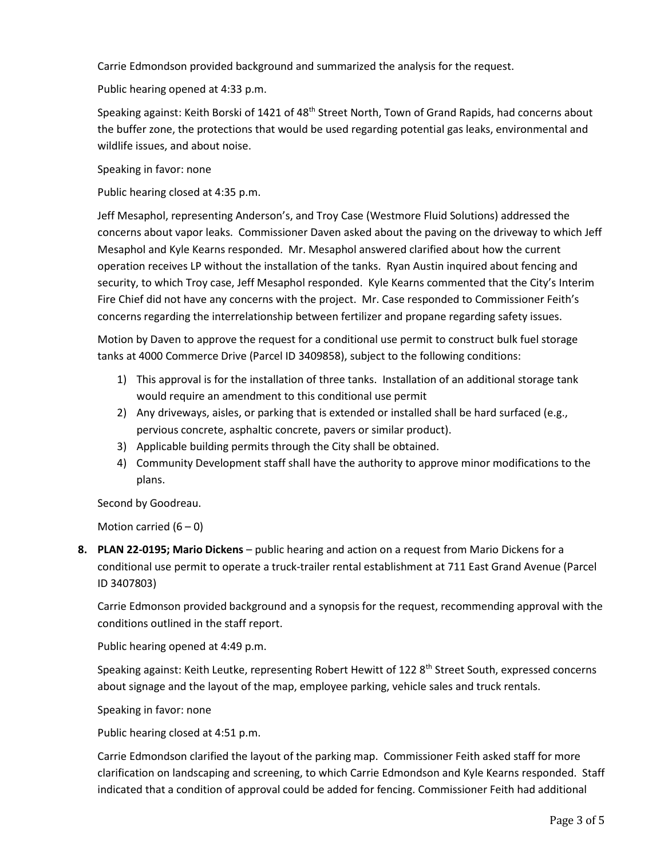Carrie Edmondson provided background and summarized the analysis for the request.

Public hearing opened at 4:33 p.m.

Speaking against: Keith Borski of 1421 of 48<sup>th</sup> Street North, Town of Grand Rapids, had concerns about the buffer zone, the protections that would be used regarding potential gas leaks, environmental and wildlife issues, and about noise.

Speaking in favor: none

Public hearing closed at 4:35 p.m.

Jeff Mesaphol, representing Anderson's, and Troy Case (Westmore Fluid Solutions) addressed the concerns about vapor leaks. Commissioner Daven asked about the paving on the driveway to which Jeff Mesaphol and Kyle Kearns responded. Mr. Mesaphol answered clarified about how the current operation receives LP without the installation of the tanks. Ryan Austin inquired about fencing and security, to which Troy case, Jeff Mesaphol responded. Kyle Kearns commented that the City's Interim Fire Chief did not have any concerns with the project. Mr. Case responded to Commissioner Feith's concerns regarding the interrelationship between fertilizer and propane regarding safety issues.

Motion by Daven to approve the request for a conditional use permit to construct bulk fuel storage tanks at 4000 Commerce Drive (Parcel ID 3409858), subject to the following conditions:

- 1) This approval is for the installation of three tanks. Installation of an additional storage tank would require an amendment to this conditional use permit
- 2) Any driveways, aisles, or parking that is extended or installed shall be hard surfaced (e.g., pervious concrete, asphaltic concrete, pavers or similar product).
- 3) Applicable building permits through the City shall be obtained.
- 4) Community Development staff shall have the authority to approve minor modifications to the plans.

Second by Goodreau.

Motion carried  $(6 - 0)$ 

**8. PLAN 22-0195; Mario Dickens** – public hearing and action on a request from Mario Dickens for a conditional use permit to operate a truck-trailer rental establishment at 711 East Grand Avenue (Parcel ID 3407803)

Carrie Edmonson provided background and a synopsis for the request, recommending approval with the conditions outlined in the staff report.

Public hearing opened at 4:49 p.m.

Speaking against: Keith Leutke, representing Robert Hewitt of 122  $8<sup>th</sup>$  Street South, expressed concerns about signage and the layout of the map, employee parking, vehicle sales and truck rentals.

Speaking in favor: none

Public hearing closed at 4:51 p.m.

Carrie Edmondson clarified the layout of the parking map. Commissioner Feith asked staff for more clarification on landscaping and screening, to which Carrie Edmondson and Kyle Kearns responded. Staff indicated that a condition of approval could be added for fencing. Commissioner Feith had additional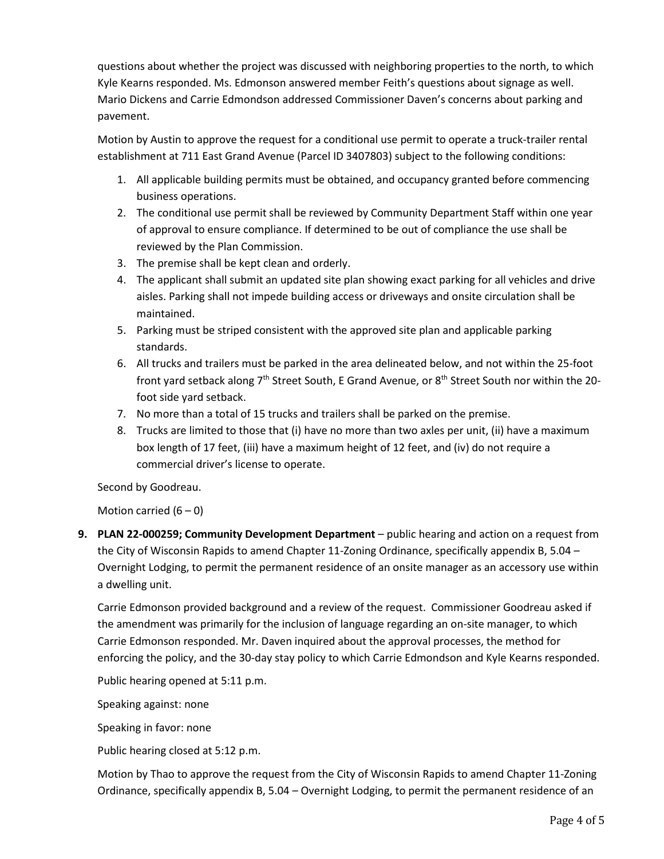questions about whether the project was discussed with neighboring properties to the north, to which Kyle Kearns responded. Ms. Edmonson answered member Feith's questions about signage as well. Mario Dickens and Carrie Edmondson addressed Commissioner Daven's concerns about parking and pavement.

Motion by Austin to approve the request for a conditional use permit to operate a truck-trailer rental establishment at 711 East Grand Avenue (Parcel ID 3407803) subject to the following conditions:

- 1. All applicable building permits must be obtained, and occupancy granted before commencing business operations.
- 2. The conditional use permit shall be reviewed by Community Department Staff within one year of approval to ensure compliance. If determined to be out of compliance the use shall be reviewed by the Plan Commission.
- 3. The premise shall be kept clean and orderly.
- 4. The applicant shall submit an updated site plan showing exact parking for all vehicles and drive aisles. Parking shall not impede building access or driveways and onsite circulation shall be maintained.
- 5. Parking must be striped consistent with the approved site plan and applicable parking standards.
- 6. All trucks and trailers must be parked in the area delineated below, and not within the 25-foot front yard setback along  $7<sup>th</sup>$  Street South, E Grand Avenue, or  $8<sup>th</sup>$  Street South nor within the 20foot side yard setback.
- 7. No more than a total of 15 trucks and trailers shall be parked on the premise.
- 8. Trucks are limited to those that (i) have no more than two axles per unit, (ii) have a maximum box length of 17 feet, (iii) have a maximum height of 12 feet, and (iv) do not require a commercial driver's license to operate.

Second by Goodreau.

Motion carried  $(6 - 0)$ 

**9. PLAN 22-000259; Community Development Department** – public hearing and action on a request from the City of Wisconsin Rapids to amend Chapter 11-Zoning Ordinance, specifically appendix B, 5.04 – Overnight Lodging, to permit the permanent residence of an onsite manager as an accessory use within a dwelling unit.

Carrie Edmonson provided background and a review of the request. Commissioner Goodreau asked if the amendment was primarily for the inclusion of language regarding an on-site manager, to which Carrie Edmonson responded. Mr. Daven inquired about the approval processes, the method for enforcing the policy, and the 30-day stay policy to which Carrie Edmondson and Kyle Kearns responded.

Public hearing opened at 5:11 p.m.

Speaking against: none

Speaking in favor: none

Public hearing closed at 5:12 p.m.

Motion by Thao to approve the request from the City of Wisconsin Rapids to amend Chapter 11-Zoning Ordinance, specifically appendix B, 5.04 – Overnight Lodging, to permit the permanent residence of an